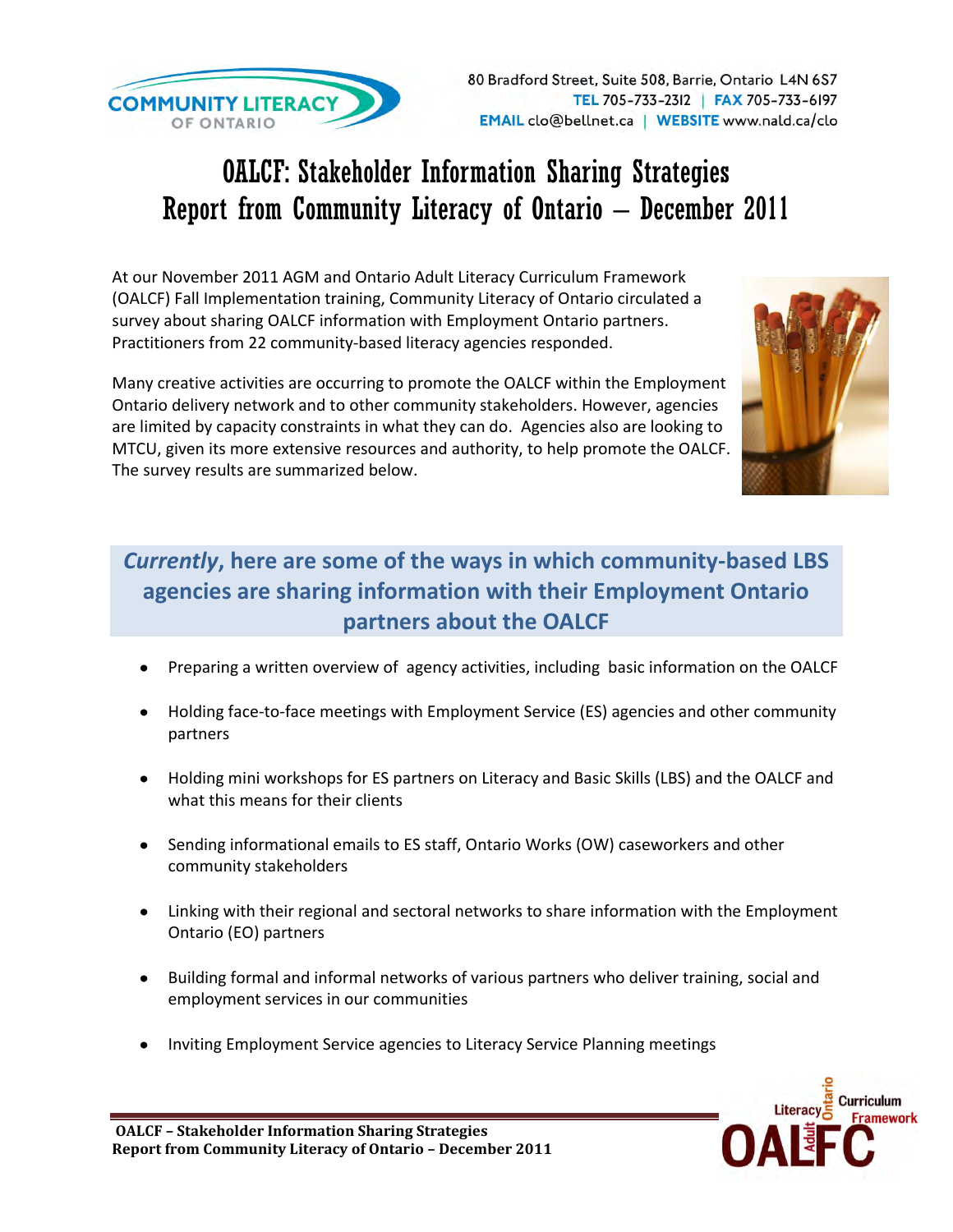

## OALCF: Stakeholder Information Sharing Strategies Report from Community Literacy of Ontario – December 2011

At our November 2011 AGM and Ontario Adult Literacy Curriculum Framework (OALCF) Fall Implementation training, Community Literacy of Ontario circulated a survey about sharing OALCF information with Employment Ontario partners. Practitioners from 22 community-based literacy agencies responded.

Many creative activities are occurring to promote the OALCF within the Employment Ontario delivery network and to other community stakeholders. However, agencies are limited by capacity constraints in what they can do. Agencies also are looking to MTCU, given its more extensive resources and authority, to help promote the OALCF. The survey results are summarized below.



## *Currently***, here are some of the ways in which community-based LBS agencies are sharing information with their Employment Ontario partners about the OALCF**

- Preparing a written overview of agency activities, including basic information on the OALCF
- Holding face-to-face meetings with Employment Service (ES) agencies and other community partners
- Holding mini workshops for ES partners on Literacy and Basic Skills (LBS) and the OALCF and what this means for their clients
- Sending informational emails to ES staff, Ontario Works (OW) caseworkers and other community stakeholders
- Linking with their regional and sectoral networks to share information with the Employment Ontario (EO) partners
- Building formal and informal networks of various partners who deliver training, social and employment services in our communities
- Inviting Employment Service agencies to Literacy Service Planning meetings

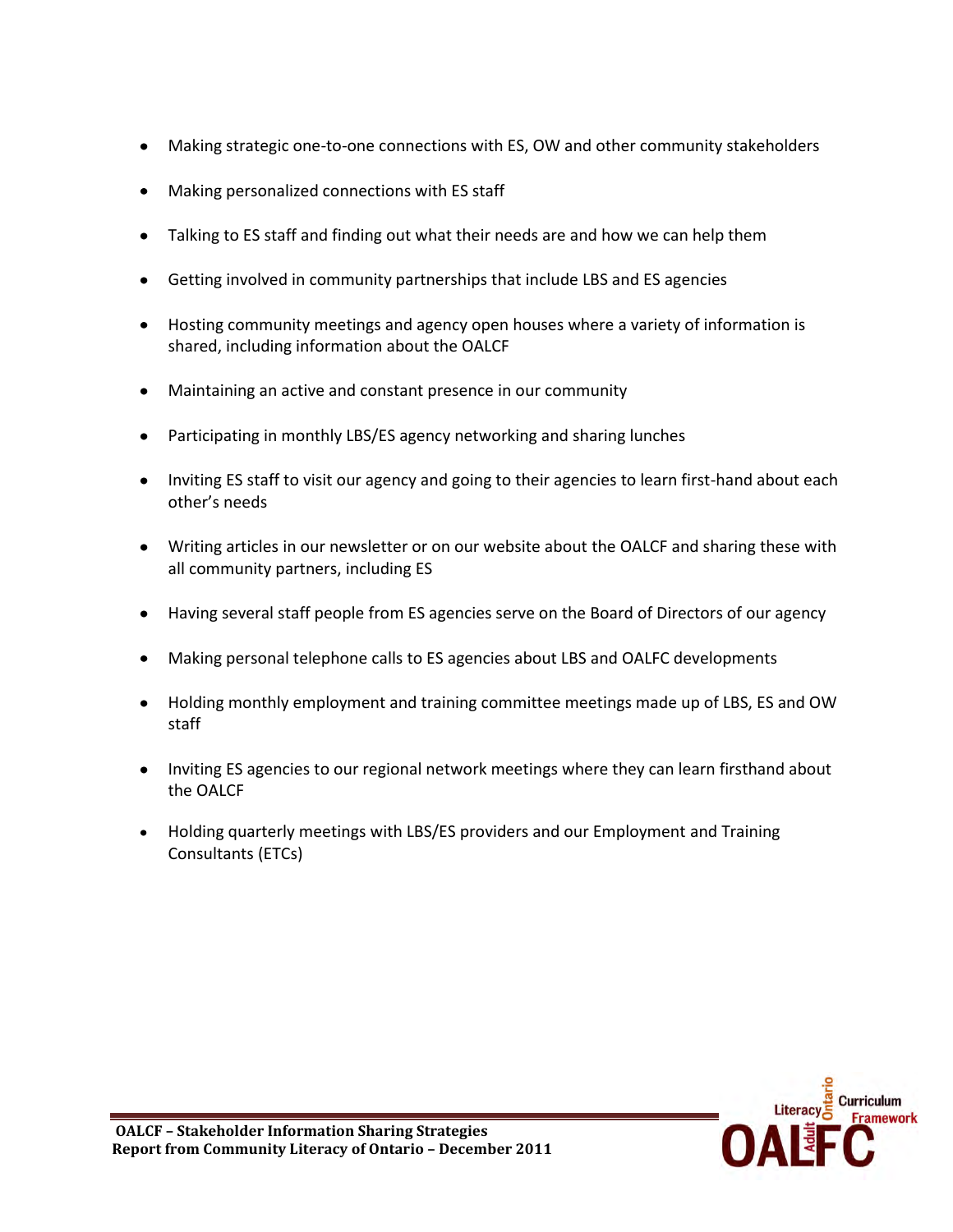- Making strategic one-to-one connections with ES, OW and other community stakeholders
- Making personalized connections with ES staff
- Talking to ES staff and finding out what their needs are and how we can help them
- Getting involved in community partnerships that include LBS and ES agencies
- Hosting community meetings and agency open houses where a variety of information is shared, including information about the OALCF
- Maintaining an active and constant presence in our community
- Participating in monthly LBS/ES agency networking and sharing lunches
- Inviting ES staff to visit our agency and going to their agencies to learn first-hand about each other's needs
- Writing articles in our newsletter or on our website about the OALCF and sharing these with all community partners, including ES
- Having several staff people from ES agencies serve on the Board of Directors of our agency
- Making personal telephone calls to ES agencies about LBS and OALFC developments
- Holding monthly employment and training committee meetings made up of LBS, ES and OW staff
- Inviting ES agencies to our regional network meetings where they can learn firsthand about the OALCF
- Holding quarterly meetings with LBS/ES providers and our Employment and Training Consultants (ETCs)

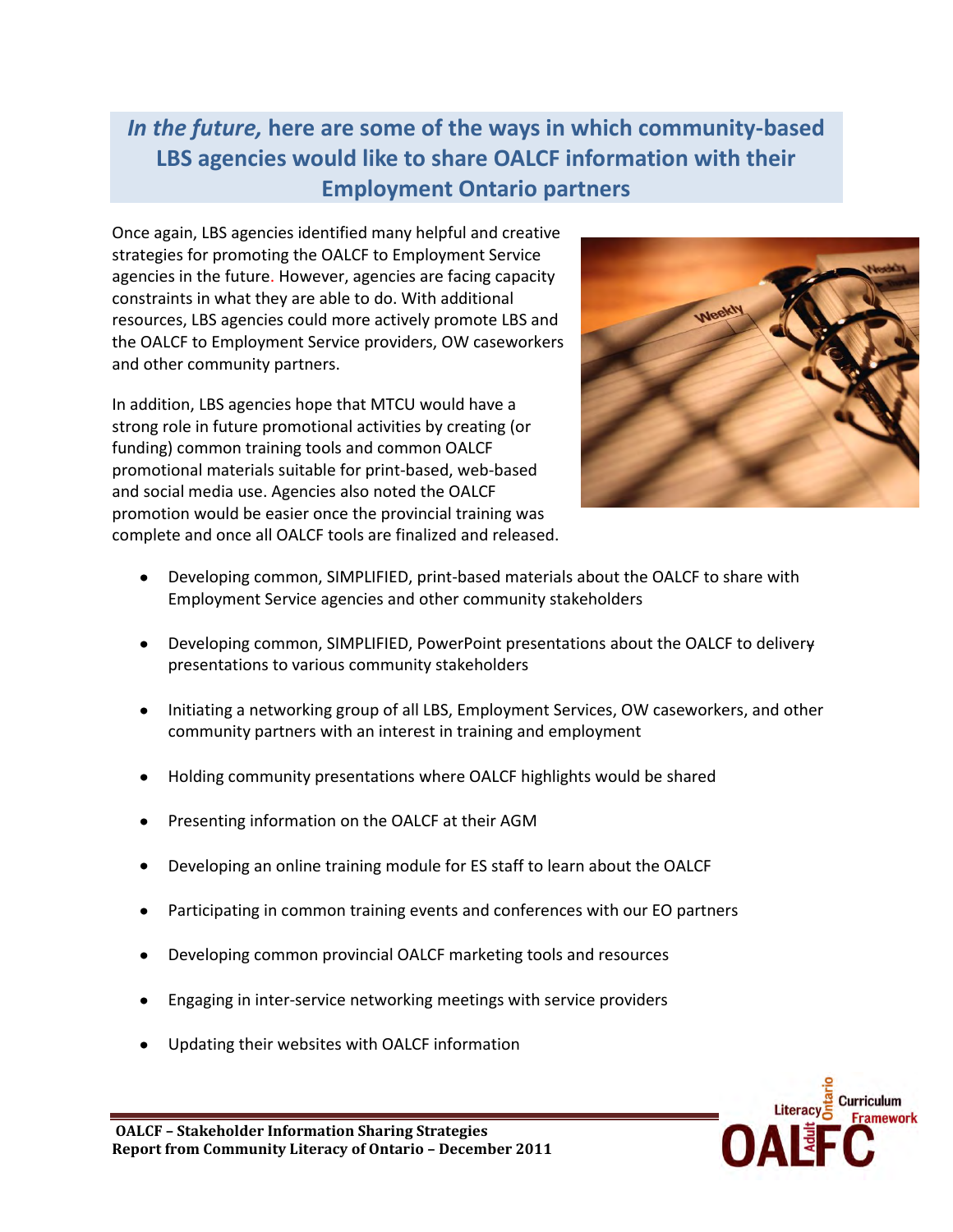## *In the future,* **here are some of the ways in which community-based LBS agencies would like to share OALCF information with their Employment Ontario partners**

Once again, LBS agencies identified many helpful and creative strategies for promoting the OALCF to Employment Service agencies in the future. However, agencies are facing capacity constraints in what they are able to do. With additional resources, LBS agencies could more actively promote LBS and the OALCF to Employment Service providers, OW caseworkers and other community partners.

In addition, LBS agencies hope that MTCU would have a strong role in future promotional activities by creating (or funding) common training tools and common OALCF promotional materials suitable for print-based, web-based and social media use. Agencies also noted the OALCF promotion would be easier once the provincial training was complete and once all OALCF tools are finalized and released.



- Developing common, SIMPLIFIED, print-based materials about the OALCF to share with Employment Service agencies and other community stakeholders
- Developing common, SIMPLIFIED, PowerPoint presentations about the OALCF to delivery presentations to various community stakeholders
- Initiating a networking group of all LBS, Employment Services, OW caseworkers, and other community partners with an interest in training and employment
- Holding community presentations where OALCF highlights would be shared
- Presenting information on the OALCF at their AGM
- Developing an online training module for ES staff to learn about the OALCF
- Participating in common training events and conferences with our EO partners
- Developing common provincial OALCF marketing tools and resources
- Engaging in inter-service networking meetings with service providers
- Updating their websites with OALCF information